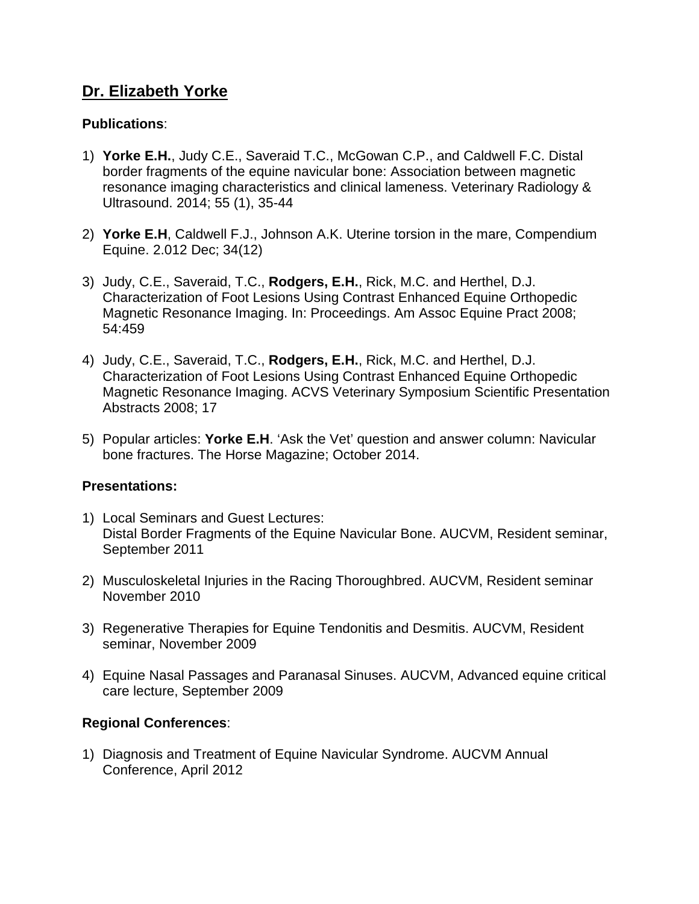## **Dr. Elizabeth Yorke**

#### **Publications**:

- 1) **Yorke E.H.**, Judy C.E., Saveraid T.C., McGowan C.P., and Caldwell F.C. Distal border fragments of the equine navicular bone: Association between magnetic resonance imaging characteristics and clinical lameness. Veterinary Radiology & Ultrasound. 2014; 55 (1), 35-44
- 2) **Yorke E.H**, Caldwell F.J., Johnson A.K. Uterine torsion in the mare, Compendium Equine. 2.012 Dec; 34(12)
- 3) Judy, C.E., Saveraid, T.C., **Rodgers, E.H.**, Rick, M.C. and Herthel, D.J. Characterization of Foot Lesions Using Contrast Enhanced Equine Orthopedic Magnetic Resonance Imaging. In: Proceedings. Am Assoc Equine Pract 2008; 54:459
- 4) Judy, C.E., Saveraid, T.C., **Rodgers, E.H.**, Rick, M.C. and Herthel, D.J. Characterization of Foot Lesions Using Contrast Enhanced Equine Orthopedic Magnetic Resonance Imaging. ACVS Veterinary Symposium Scientific Presentation Abstracts 2008; 17
- 5) Popular articles: **Yorke E.H**. 'Ask the Vet' question and answer column: Navicular bone fractures. The Horse Magazine; October 2014.

#### **Presentations:**

- 1) Local Seminars and Guest Lectures: Distal Border Fragments of the Equine Navicular Bone. AUCVM, Resident seminar, September 2011
- 2) Musculoskeletal Injuries in the Racing Thoroughbred. AUCVM, Resident seminar November 2010
- 3) Regenerative Therapies for Equine Tendonitis and Desmitis. AUCVM, Resident seminar, November 2009
- 4) Equine Nasal Passages and Paranasal Sinuses. AUCVM, Advanced equine critical care lecture, September 2009

#### **Regional Conferences**:

1) Diagnosis and Treatment of Equine Navicular Syndrome. AUCVM Annual Conference, April 2012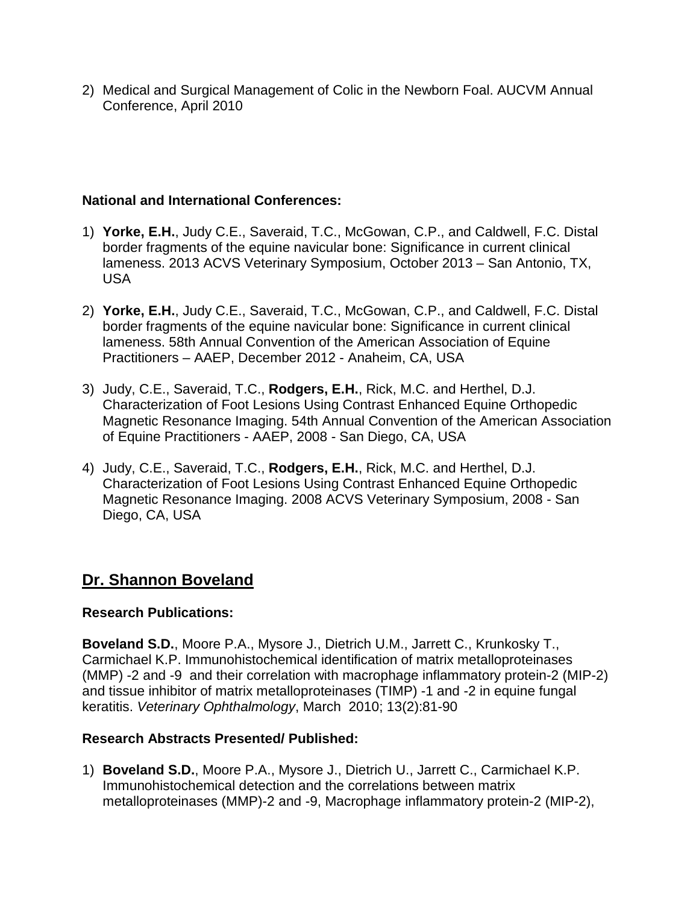2) Medical and Surgical Management of Colic in the Newborn Foal. AUCVM Annual Conference, April 2010

#### **National and International Conferences:**

- 1) **Yorke, E.H.**, Judy C.E., Saveraid, T.C., McGowan, C.P., and Caldwell, F.C. Distal border fragments of the equine navicular bone: Significance in current clinical lameness. 2013 ACVS Veterinary Symposium, October 2013 – San Antonio, TX, USA
- 2) **Yorke, E.H.**, Judy C.E., Saveraid, T.C., McGowan, C.P., and Caldwell, F.C. Distal border fragments of the equine navicular bone: Significance in current clinical lameness. 58th Annual Convention of the American Association of Equine Practitioners – AAEP, December 2012 - Anaheim, CA, USA
- 3) Judy, C.E., Saveraid, T.C., **Rodgers, E.H.**, Rick, M.C. and Herthel, D.J. Characterization of Foot Lesions Using Contrast Enhanced Equine Orthopedic Magnetic Resonance Imaging. 54th Annual Convention of the American Association of Equine Practitioners - AAEP, 2008 - San Diego, CA, USA
- 4) Judy, C.E., Saveraid, T.C., **Rodgers, E.H.**, Rick, M.C. and Herthel, D.J. Characterization of Foot Lesions Using Contrast Enhanced Equine Orthopedic Magnetic Resonance Imaging. 2008 ACVS Veterinary Symposium, 2008 - San Diego, CA, USA

# **Dr. Shannon Boveland**

## **Research Publications:**

**Boveland S.D.**, Moore P.A., Mysore J., Dietrich U.M., Jarrett C., Krunkosky T., Carmichael K.P. Immunohistochemical identification of matrix metalloproteinases (MMP) -2 and -9 and their correlation with macrophage inflammatory protein-2 (MIP-2) and tissue inhibitor of matrix metalloproteinases (TIMP) -1 and -2 in equine fungal keratitis. *Veterinary Ophthalmology*, March 2010; 13(2):81-90

## **Research Abstracts Presented/ Published:**

1) **Boveland S.D.**, Moore P.A., Mysore J., Dietrich U., Jarrett C., Carmichael K.P. Immunohistochemical detection and the correlations between matrix metalloproteinases (MMP)-2 and -9, Macrophage inflammatory protein-2 (MIP-2),